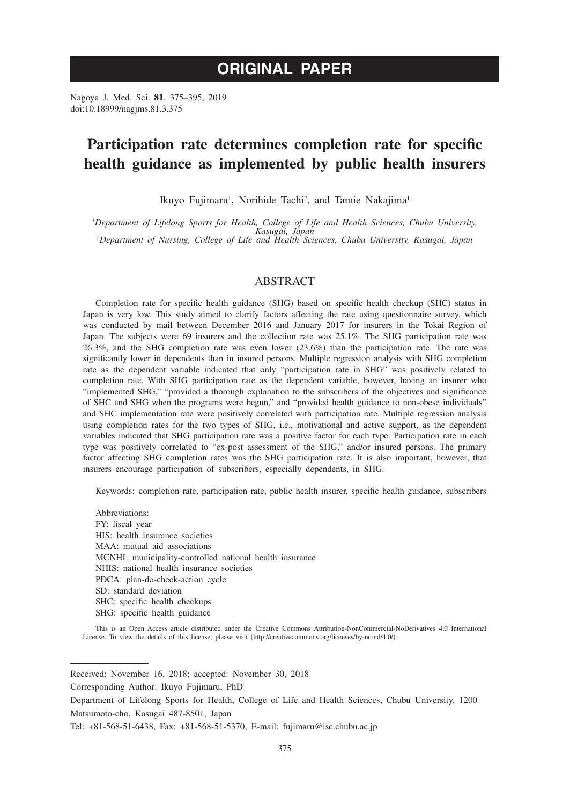# **ORIGINAL PAPER**

Nagoya J. Med. Sci. **81**. 375–395, 2019 doi:10.18999/nagjms.81.3.375

# **Participation rate determines completion rate for specific health guidance as implemented by public health insurers**

Ikuyo Fujimaru<sup>1</sup>, Norihide Tachi<sup>2</sup>, and Tamie Nakajima<sup>1</sup>

*1 Department of Lifelong Sports for Health, College of Life and Health Sciences, Chubu University, Kasugai, Japan <sup>2</sup> Department of Nursing, College of Life and Health Sciences, Chubu University, Kasugai, Japan*

# ABSTRACT

Completion rate for specific health guidance (SHG) based on specific health checkup (SHC) status in Japan is very low. This study aimed to clarify factors affecting the rate using questionnaire survey, which was conducted by mail between December 2016 and January 2017 for insurers in the Tokai Region of Japan. The subjects were 69 insurers and the collection rate was 25.1%. The SHG participation rate was 26.3%, and the SHG completion rate was even lower (23.6%) than the participation rate. The rate was significantly lower in dependents than in insured persons. Multiple regression analysis with SHG completion rate as the dependent variable indicated that only "participation rate in SHG" was positively related to completion rate. With SHG participation rate as the dependent variable, however, having an insurer who "implemented SHG," "provided a thorough explanation to the subscribers of the objectives and significance of SHC and SHG when the programs were begun," and "provided health guidance to non-obese individuals" and SHC implementation rate were positively correlated with participation rate. Multiple regression analysis using completion rates for the two types of SHG, i.e., motivational and active support, as the dependent variables indicated that SHG participation rate was a positive factor for each type. Participation rate in each type was positively correlated to "ex-post assessment of the SHG," and/or insured persons. The primary factor affecting SHG completion rates was the SHG participation rate. It is also important, however, that insurers encourage participation of subscribers, especially dependents, in SHG.

Keywords: completion rate, participation rate, public health insurer, specific health guidance, subscribers

Abbreviations: FY: fiscal year HIS: health insurance societies MAA: mutual aid associations MCNHI: municipality-controlled national health insurance NHIS: national health insurance societies PDCA: plan-do-check-action cycle SD: standard deviation SHC: specific health checkups SHG: specific health guidance

This is an Open Access article distributed under the Creative Commons Attribution-NonCommercial-NoDerivatives 4.0 International License. To view the details of this license, please visit (http://creativecommons.org/licenses/by-nc-nd/4.0/).

Received: November 16, 2018; accepted: November 30, 2018

Corresponding Author: Ikuyo Fujimaru, PhD

Department of Lifelong Sports for Health, College of Life and Health Sciences, Chubu University, 1200 Matsumoto-cho, Kasugai 487-8501, Japan

Tel: +81-568-51-6438, Fax: +81-568-51-5370, E-mail: fujimaru@isc.chubu.ac.jp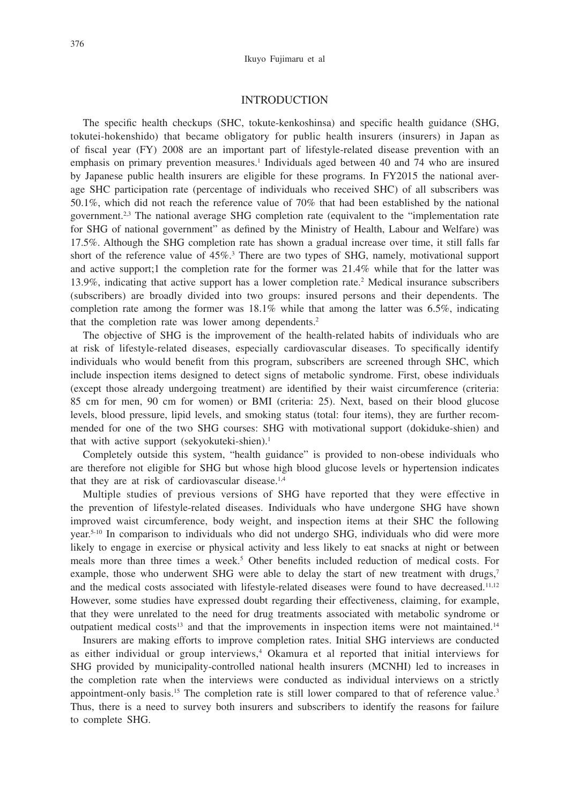### INTRODUCTION

The specific health checkups (SHC, tokute-kenkoshinsa) and specific health guidance (SHG, tokutei-hokenshido) that became obligatory for public health insurers (insurers) in Japan as of fiscal year (FY) 2008 are an important part of lifestyle-related disease prevention with an emphasis on primary prevention measures.<sup>1</sup> Individuals aged between 40 and 74 who are insured by Japanese public health insurers are eligible for these programs. In FY2015 the national average SHC participation rate (percentage of individuals who received SHC) of all subscribers was 50.1%, which did not reach the reference value of 70% that had been established by the national government.<sup>2,3</sup> The national average SHG completion rate (equivalent to the "implementation rate for SHG of national government" as defined by the Ministry of Health, Labour and Welfare) was 17.5%. Although the SHG completion rate has shown a gradual increase over time, it still falls far short of the reference value of 45%.<sup>3</sup> There are two types of SHG, namely, motivational support and active support;1 the completion rate for the former was 21.4% while that for the latter was 13.9%, indicating that active support has a lower completion rate.2 Medical insurance subscribers (subscribers) are broadly divided into two groups: insured persons and their dependents. The completion rate among the former was  $18.1\%$  while that among the latter was 6.5%, indicating that the completion rate was lower among dependents.<sup>2</sup>

The objective of SHG is the improvement of the health-related habits of individuals who are at risk of lifestyle-related diseases, especially cardiovascular diseases. To specifically identify individuals who would benefit from this program, subscribers are screened through SHC, which include inspection items designed to detect signs of metabolic syndrome. First, obese individuals (except those already undergoing treatment) are identified by their waist circumference (criteria: 85 cm for men, 90 cm for women) or BMI (criteria: 25). Next, based on their blood glucose levels, blood pressure, lipid levels, and smoking status (total: four items), they are further recommended for one of the two SHG courses: SHG with motivational support (dokiduke-shien) and that with active support (sekyokuteki-shien). $<sup>1</sup>$ </sup>

Completely outside this system, "health guidance" is provided to non-obese individuals who are therefore not eligible for SHG but whose high blood glucose levels or hypertension indicates that they are at risk of cardiovascular disease.<sup>1,4</sup>

Multiple studies of previous versions of SHG have reported that they were effective in the prevention of lifestyle-related diseases. Individuals who have undergone SHG have shown improved waist circumference, body weight, and inspection items at their SHC the following year.5-10 In comparison to individuals who did not undergo SHG, individuals who did were more likely to engage in exercise or physical activity and less likely to eat snacks at night or between meals more than three times a week.<sup>5</sup> Other benefits included reduction of medical costs. For example, those who underwent SHG were able to delay the start of new treatment with drugs,<sup>7</sup> and the medical costs associated with lifestyle-related diseases were found to have decreased.<sup>11,12</sup> However, some studies have expressed doubt regarding their effectiveness, claiming, for example, that they were unrelated to the need for drug treatments associated with metabolic syndrome or outpatient medical costs<sup>13</sup> and that the improvements in inspection items were not maintained.<sup>14</sup>

Insurers are making efforts to improve completion rates. Initial SHG interviews are conducted as either individual or group interviews,<sup>4</sup> Okamura et al reported that initial interviews for SHG provided by municipality-controlled national health insurers (MCNHI) led to increases in the completion rate when the interviews were conducted as individual interviews on a strictly appointment-only basis.<sup>15</sup> The completion rate is still lower compared to that of reference value.<sup>3</sup> Thus, there is a need to survey both insurers and subscribers to identify the reasons for failure to complete SHG.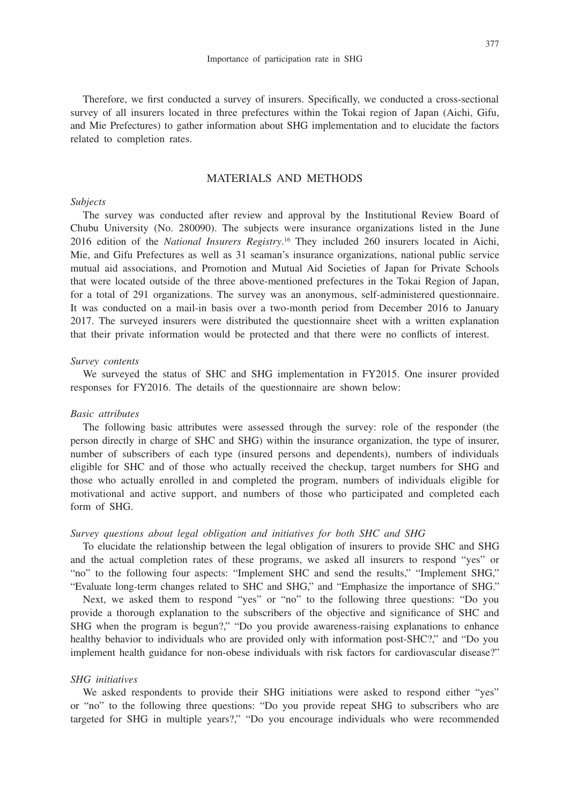Therefore, we first conducted a survey of insurers. Specifically, we conducted a cross-sectional survey of all insurers located in three prefectures within the Tokai region of Japan (Aichi, Gifu, and Mie Prefectures) to gather information about SHG implementation and to elucidate the factors related to completion rates.

# MATERIALS AND METHODS

# *Subjects*

The survey was conducted after review and approval by the Institutional Review Board of Chubu University (No. 280090). The subjects were insurance organizations listed in the June 2016 edition of the *National Insurers Registry*. 16 They included 260 insurers located in Aichi, Mie, and Gifu Prefectures as well as 31 seaman's insurance organizations, national public service mutual aid associations, and Promotion and Mutual Aid Societies of Japan for Private Schools that were located outside of the three above-mentioned prefectures in the Tokai Region of Japan, for a total of 291 organizations. The survey was an anonymous, self-administered questionnaire. It was conducted on a mail-in basis over a two-month period from December 2016 to January 2017. The surveyed insurers were distributed the questionnaire sheet with a written explanation that their private information would be protected and that there were no conflicts of interest.

#### *Survey contents*

We surveyed the status of SHC and SHG implementation in FY2015. One insurer provided responses for FY2016. The details of the questionnaire are shown below:

## *Basic attributes*

The following basic attributes were assessed through the survey: role of the responder (the person directly in charge of SHC and SHG) within the insurance organization, the type of insurer, number of subscribers of each type (insured persons and dependents), numbers of individuals eligible for SHC and of those who actually received the checkup, target numbers for SHG and those who actually enrolled in and completed the program, numbers of individuals eligible for motivational and active support, and numbers of those who participated and completed each form of SHG.

#### *Survey questions about legal obligation and initiatives for both SHC and SHG*

To elucidate the relationship between the legal obligation of insurers to provide SHC and SHG and the actual completion rates of these programs, we asked all insurers to respond "yes" or "no" to the following four aspects: "Implement SHC and send the results," "Implement SHG," "Evaluate long-term changes related to SHC and SHG," and "Emphasize the importance of SHG."

Next, we asked them to respond "yes" or "no" to the following three questions: "Do you provide a thorough explanation to the subscribers of the objective and significance of SHC and SHG when the program is begun?," "Do you provide awareness-raising explanations to enhance healthy behavior to individuals who are provided only with information post-SHC?," and "Do you implement health guidance for non-obese individuals with risk factors for cardiovascular disease?"

#### *SHG initiatives*

We asked respondents to provide their SHG initiations were asked to respond either "yes" or "no" to the following three questions: "Do you provide repeat SHG to subscribers who are targeted for SHG in multiple years?," "Do you encourage individuals who were recommended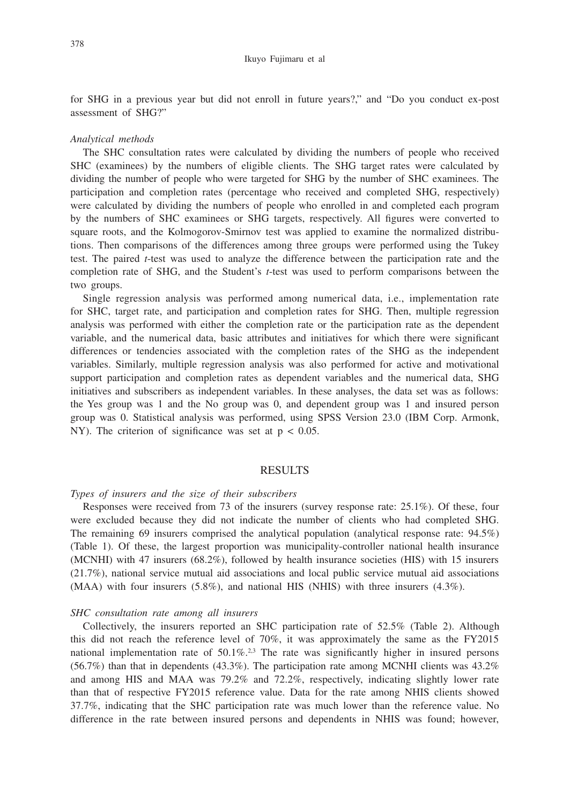for SHG in a previous year but did not enroll in future years?," and "Do you conduct ex-post assessment of SHG?"

### *Analytical methods*

The SHC consultation rates were calculated by dividing the numbers of people who received SHC (examinees) by the numbers of eligible clients. The SHG target rates were calculated by dividing the number of people who were targeted for SHG by the number of SHC examinees. The participation and completion rates (percentage who received and completed SHG, respectively) were calculated by dividing the numbers of people who enrolled in and completed each program by the numbers of SHC examinees or SHG targets, respectively. All figures were converted to square roots, and the Kolmogorov-Smirnov test was applied to examine the normalized distributions. Then comparisons of the differences among three groups were performed using the Tukey test. The paired *t*-test was used to analyze the difference between the participation rate and the completion rate of SHG, and the Student's *t*-test was used to perform comparisons between the two groups.

Single regression analysis was performed among numerical data, i.e., implementation rate for SHC, target rate, and participation and completion rates for SHG. Then, multiple regression analysis was performed with either the completion rate or the participation rate as the dependent variable, and the numerical data, basic attributes and initiatives for which there were significant differences or tendencies associated with the completion rates of the SHG as the independent variables. Similarly, multiple regression analysis was also performed for active and motivational support participation and completion rates as dependent variables and the numerical data, SHG initiatives and subscribers as independent variables. In these analyses, the data set was as follows: the Yes group was 1 and the No group was 0, and dependent group was 1 and insured person group was 0. Statistical analysis was performed, using SPSS Version 23.0 (IBM Corp. Armonk, NY). The criterion of significance was set at  $p < 0.05$ .

#### RESULTS

#### *Types of insurers and the size of their subscribers*

Responses were received from 73 of the insurers (survey response rate: 25.1%). Of these, four were excluded because they did not indicate the number of clients who had completed SHG. The remaining 69 insurers comprised the analytical population (analytical response rate: 94.5%) (Table 1). Of these, the largest proportion was municipality-controller national health insurance (MCNHI) with 47 insurers (68.2%), followed by health insurance societies (HIS) with 15 insurers (21.7%), national service mutual aid associations and local public service mutual aid associations (MAA) with four insurers (5.8%), and national HIS (NHIS) with three insurers (4.3%).

#### *SHC consultation rate among all insurers*

Collectively, the insurers reported an SHC participation rate of 52.5% (Table 2). Although this did not reach the reference level of 70%, it was approximately the same as the FY2015 national implementation rate of  $50.1\%$ <sup>2,3</sup>. The rate was significantly higher in insured persons  $(56.7%)$  than that in dependents  $(43.3%)$ . The participation rate among MCNHI clients was  $43.2%$ and among HIS and MAA was 79.2% and 72.2%, respectively, indicating slightly lower rate than that of respective FY2015 reference value. Data for the rate among NHIS clients showed 37.7%, indicating that the SHC participation rate was much lower than the reference value. No difference in the rate between insured persons and dependents in NHIS was found; however,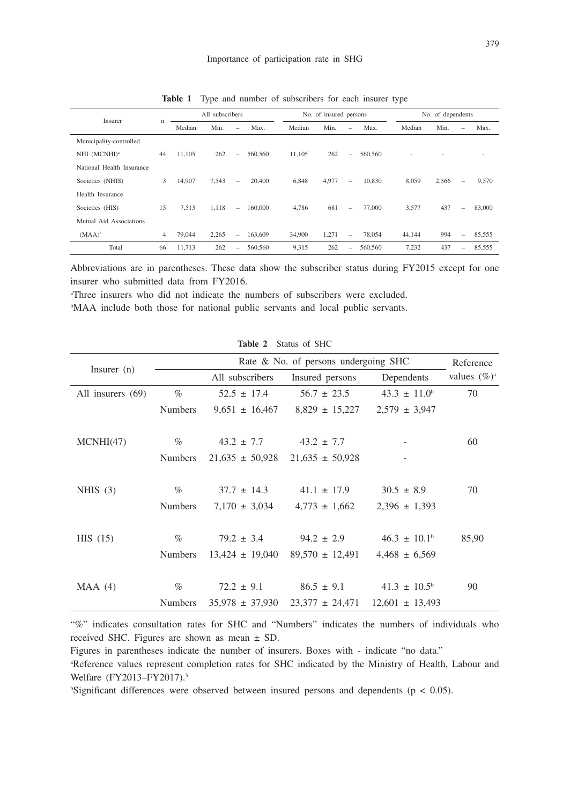|                           |    |        | All subscribers |                          |         |        | No. of insured persons |                          |         |        | No. of dependents |                          |        |
|---------------------------|----|--------|-----------------|--------------------------|---------|--------|------------------------|--------------------------|---------|--------|-------------------|--------------------------|--------|
| Insurer                   | n  | Median | Min.            | $\overline{\phantom{0}}$ | Max.    | Median | Min.                   | -                        | Max.    | Median | Min.              | $\overline{\phantom{0}}$ | Max.   |
| Municipality-controlled   |    |        |                 |                          |         |        |                        |                          |         |        |                   |                          |        |
| NHI (MCNHI) <sup>a</sup>  | 44 | 11,105 | 262             | $\qquad \qquad -$        | 560,560 | 11.105 | 262                    | $\overline{\phantom{0}}$ | 560,560 | ٠      |                   |                          |        |
| National Health Insurance |    |        |                 |                          |         |        |                        |                          |         |        |                   |                          |        |
| Societies (NHIS)          | 3  | 14,907 | 7,543           | $\equiv$                 | 20,400  | 6.848  | 4,977                  | $\equiv$                 | 10.830  | 8,059  | 2,566             | -                        | 9,570  |
| Health Insurance          |    |        |                 |                          |         |        |                        |                          |         |        |                   |                          |        |
| Societies (HIS)           | 15 | 7,513  | 1,118           | $\overline{\phantom{a}}$ | 160,000 | 4.786  | 681                    | -                        | 77,000  | 3,577  | 437               | $\equiv$                 | 83,000 |
| Mutual Aid Associations   |    |        |                 |                          |         |        |                        |                          |         |        |                   |                          |        |
| $(MAA)^b$                 | 4  | 79,044 | 2,265           | $\overline{\phantom{0}}$ | 163,609 | 34,900 | 1,271                  | -                        | 78,054  | 44,144 | 994               | $\overline{\phantom{0}}$ | 85,555 |
| Total                     | 66 | 11,713 | 262             | $\overline{\phantom{0}}$ | 560,560 | 9,315  | 262                    | -                        | 560,560 | 7,232  | 437               | $\overline{\phantom{0}}$ | 85,555 |

**Table 1** Type and number of subscribers for each insurer type

Abbreviations are in parentheses. These data show the subscriber status during FY2015 except for one insurer who submitted data from FY2016.

a Three insurers who did not indicate the numbers of subscribers were excluded.

<sup>b</sup>MAA include both those for national public servants and local public servants.

| Insurer $(n)$     |                |                     | Rate & No. of persons undergoing SHC |                         | Reference       |
|-------------------|----------------|---------------------|--------------------------------------|-------------------------|-----------------|
|                   |                | All subscribers     | Insured persons                      | Dependents              | values $(\%)^a$ |
| All insurers (69) | $\%$           | $52.5 \pm 17.4$     | $56.7 \pm 23.5$                      | $43.3 \pm 11.0^b$       | 70              |
|                   | <b>Numbers</b> | $9,651 \pm 16,467$  | $8,829 \pm 15,227$                   | $2,579 \pm 3,947$       |                 |
|                   |                |                     |                                      |                         |                 |
| MCNHI(47)         | $\%$           | $43.2 \pm 7.7$      | $43.2 \pm 7.7$                       |                         | 60              |
|                   | <b>Numbers</b> | $21,635 \pm 50,928$ | $21,635 \pm 50,928$                  |                         |                 |
|                   |                |                     |                                      |                         |                 |
| NHIS $(3)$        | $\%$           | $37.7 \pm 14.3$     | $41.1 \pm 17.9$                      | $30.5 \pm 8.9$          | 70              |
|                   | <b>Numbers</b> | $7,170 \pm 3,034$   | $4,773 \pm 1,662$                    | $2,396 \pm 1,393$       |                 |
|                   |                |                     |                                      |                         |                 |
| HIS(15)           | $\%$           | $79.2 \pm 3.4$      | $94.2 \pm 2.9$                       | $46.3 \pm 10.1^{\circ}$ | 85,90           |
|                   | <b>Numbers</b> | $13,424 \pm 19,040$ | $89,570 \pm 12,491$                  | $4,468 \pm 6,569$       |                 |
|                   |                |                     |                                      |                         |                 |
| MAA(4)            | $\%$           | $72.2 \pm 9.1$      | $86.5 \pm 9.1$                       | $41.3 \pm 10.5^{\circ}$ | 90              |
|                   | <b>Numbers</b> | $35,978 \pm 37,930$ | $23,377 \pm 24,471$                  | $12,601 \pm 13,493$     |                 |

**Table 2** Status of SHC

"%" indicates consultation rates for SHC and "Numbers" indicates the numbers of individuals who received SHC. Figures are shown as mean ± SD.

Figures in parentheses indicate the number of insurers. Boxes with - indicate "no data."

a Reference values represent completion rates for SHC indicated by the Ministry of Health, Labour and Welfare (FY2013–FY2017).<sup>3</sup>

 $b$ Significant differences were observed between insured persons and dependents ( $p < 0.05$ ).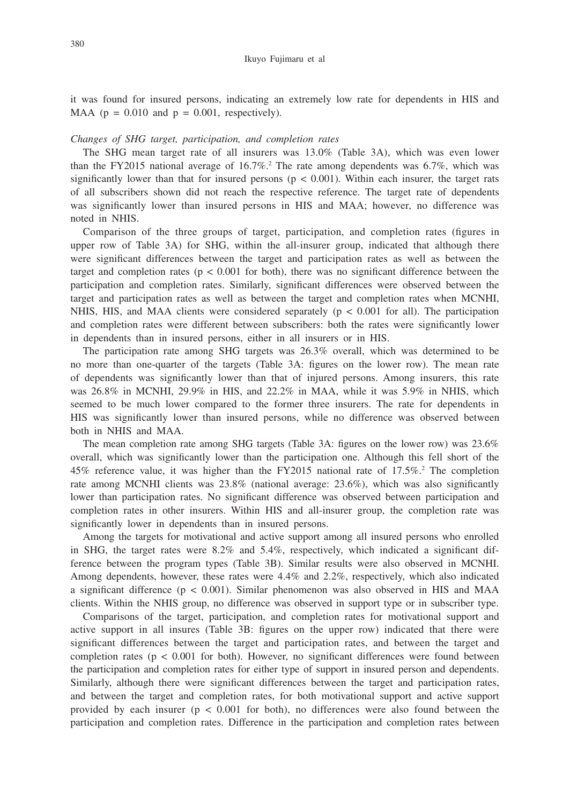it was found for insured persons, indicating an extremely low rate for dependents in HIS and MAA ( $p = 0.010$  and  $p = 0.001$ , respectively).

#### *Changes of SHG target, participation, and completion rates*

The SHG mean target rate of all insurers was 13.0% (Table 3A), which was even lower than the FY2015 national average of  $16.7\%$ .<sup>2</sup> The rate among dependents was 6.7%, which was significantly lower than that for insured persons ( $p < 0.001$ ). Within each insurer, the target rats of all subscribers shown did not reach the respective reference. The target rate of dependents was significantly lower than insured persons in HIS and MAA; however, no difference was noted in NHIS.

Comparison of the three groups of target, participation, and completion rates (figures in upper row of Table 3A) for SHG, within the all-insurer group, indicated that although there were significant differences between the target and participation rates as well as between the target and completion rates ( $p < 0.001$  for both), there was no significant difference between the participation and completion rates. Similarly, significant differences were observed between the target and participation rates as well as between the target and completion rates when MCNHI, NHIS, HIS, and MAA clients were considered separately ( $p < 0.001$  for all). The participation and completion rates were different between subscribers: both the rates were significantly lower in dependents than in insured persons, either in all insurers or in HIS.

The participation rate among SHG targets was 26.3% overall, which was determined to be no more than one-quarter of the targets (Table 3A: figures on the lower row). The mean rate of dependents was significantly lower than that of injured persons. Among insurers, this rate was 26.8% in MCNHI, 29.9% in HIS, and 22.2% in MAA, while it was 5.9% in NHIS, which seemed to be much lower compared to the former three insurers. The rate for dependents in HIS was significantly lower than insured persons, while no difference was observed between both in NHIS and MAA.

The mean completion rate among SHG targets (Table 3A: figures on the lower row) was 23.6% overall, which was significantly lower than the participation one. Although this fell short of the 45% reference value, it was higher than the FY2015 national rate of 17.5%.2 The completion rate among MCNHI clients was 23.8% (national average: 23.6%), which was also significantly lower than participation rates. No significant difference was observed between participation and completion rates in other insurers. Within HIS and all-insurer group, the completion rate was significantly lower in dependents than in insured persons.

Among the targets for motivational and active support among all insured persons who enrolled in SHG, the target rates were 8.2% and 5.4%, respectively, which indicated a significant difference between the program types (Table 3B). Similar results were also observed in MCNHI. Among dependents, however, these rates were 4.4% and 2.2%, respectively, which also indicated a significant difference  $(p < 0.001)$ . Similar phenomenon was also observed in HIS and MAA clients. Within the NHIS group, no difference was observed in support type or in subscriber type.

Comparisons of the target, participation, and completion rates for motivational support and active support in all insures (Table 3B: figures on the upper row) indicated that there were significant differences between the target and participation rates, and between the target and completion rates ( $p < 0.001$  for both). However, no significant differences were found between the participation and completion rates for either type of support in insured person and dependents. Similarly, although there were significant differences between the target and participation rates, and between the target and completion rates, for both motivational support and active support provided by each insurer ( $p < 0.001$  for both), no differences were also found between the participation and completion rates. Difference in the participation and completion rates between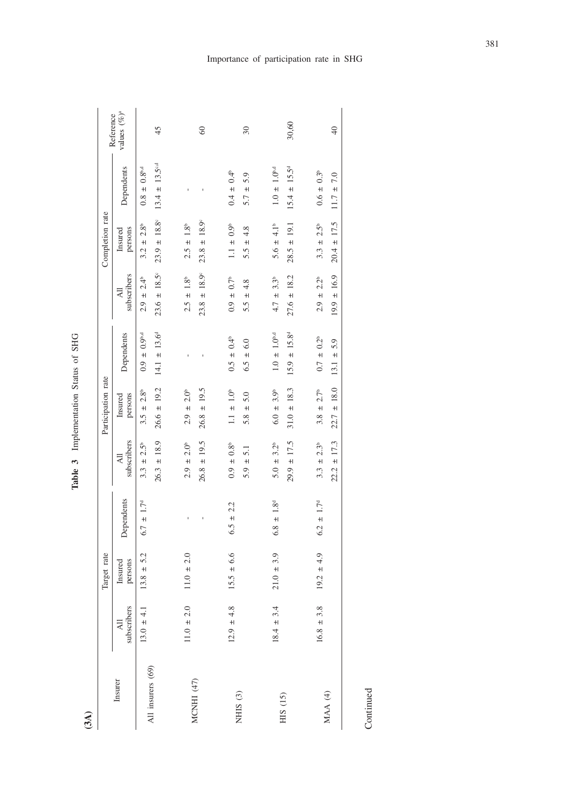| č<br>ă |
|--------|
| į<br>ï |
| í<br>I |
| ť<br>, |
|        |

| $13.8 \pm 5.2$<br>Target rate<br>persons<br>Insured |                               |                                       |                                       |                               |                                    |                                       |                            |                 |
|-----------------------------------------------------|-------------------------------|---------------------------------------|---------------------------------------|-------------------------------|------------------------------------|---------------------------------------|----------------------------|-----------------|
|                                                     |                               |                                       | Participation rate                    |                               |                                    | Completion rate                       |                            | Reference       |
|                                                     | Dependents                    | subscribers<br>$\overline{z}$         | persons<br>Insured                    | Dependents                    | subscribers<br>$\overline{A}$      | persons<br>Insured                    | Dependents                 | values $(\%)^a$ |
|                                                     | $\pm$ 1.7 <sup>d</sup><br>6.7 | 2.5 <sup>b</sup><br>$\ddot{+}$<br>3.3 | 2.8 <sup>b</sup><br>$\ddot{+}$<br>3.5 | $\pm 0.9^{\text{b,d}}$<br>0.9 | $2.4^{\circ}$<br>$\ddot{+}$<br>2.9 | 2.8 <sup>b</sup><br>$\ddot{+}$<br>3.2 | $\pm 0.8^{\rm b,d}$<br>0.8 |                 |
|                                                     |                               | $26.3 \pm 18.9$                       | $26.6 \pm 19.2$                       | $14.1 \pm 13.6^d$             | $23.6 \pm 18.5$ <sup>c</sup>       | $23.9 \pm 18.8$                       | $13.4 \pm 13.5^{c,d}$      | 45              |
| $11.0 \pm 2.0$                                      |                               | $\pm 2.0^{\circ}$<br>2.9              | $2.9 \pm 2.0^{\circ}$                 |                               | $2.5 \pm 1.8^{\circ}$              | $2.5 \pm 1.8^{\circ}$                 |                            |                 |
|                                                     |                               | $26.8 \pm 19.5$                       | $26.8 \pm 19.5$                       |                               | $23.8 \pm 18.9^{\circ}$            | $23.8 \pm 18.9^{\circ}$               |                            | $\degree$       |
| $15.5 \pm 6.6$                                      | $6.5 \pm 2.2$                 | $0.9 \pm 0.8$ <sup>b</sup>            | $1.1 \pm 1.0^{\circ}$                 | $0.5 \pm 0.4^{\circ}$         | $0.9~\pm~0.7^{\rm b}$              | $1.1 \pm 0.9^{\circ}$                 | $0.4 \pm 0.4^{\circ}$      |                 |
|                                                     |                               | $\overline{51}$<br>$5.9 \pm$          | 5.0<br>$+1$<br>5.8                    | $6.5 \pm 6.0$                 | 4.8<br>$+1$<br>5.5                 | 4.8<br>$+1$<br>5.5                    | 5.9<br>$+1$<br>5.7         | 30              |
| $21.0 \pm 3.9$                                      | $6.8 \pm 1.8$ <sup>d</sup>    | $5.0 \pm 3.2^{\circ}$                 | 3.9 <sup>b</sup><br>$6.0 \pm$         | $1.0 \pm 1.0^{6,d}$           | 3.3 <sup>b</sup><br>$4.7 \pm$      | $5.6 \pm 4.1^{\circ}$                 | $1.0 \pm 1.0^{bd}$         |                 |
|                                                     |                               | $29.9 \pm 17.5$                       | $31.0 \pm 18.3$                       | $15.9 \pm 15.8^d$             | $27.6 \pm 18.2$                    | $28.5 \pm 19.1$                       | $15.4 \pm 15.5^d$          | 30,60           |
| $19.2 \pm 4.9$                                      | $6.2 \pm 1.7^{\circ}$         | 2.3 <sup>b</sup><br>$+$<br>3.3        | 2.7 <sup>b</sup><br>$+$<br>3.8        | $0.7 \pm 0.2^{\circ}$         | 2.2 <sup>b</sup><br>$2.9 \pm$      | $\pm 2.5^{\circ}$<br>3.3              | $0.6 \pm 0.3^{\circ}$      |                 |
|                                                     |                               | 17.3<br>$22.2 \pm$                    | $22.7 \pm 18.0$                       | $13.1 \pm 5.9$                | $19.9 \pm 16.9$                    | $20.4 \pm 17.5$                       | $11.7 \pm 7.0$             | $\overline{40}$ |

Continued Continued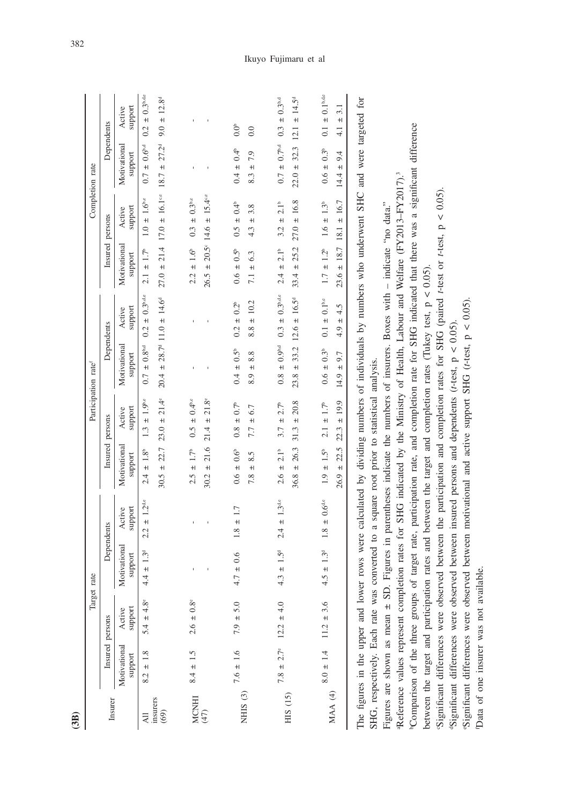| (3B)             |                         |                                                                            |                                                                                                                                                                                                                                                                                                                                                                                                                                                                                                                                                                                                                                                                                                                                                                                                                                                                                                                                                                                                                                                                             |                              |                                                           |                               |                                                      |                         |                               |                                       |                                                            |                                         |
|------------------|-------------------------|----------------------------------------------------------------------------|-----------------------------------------------------------------------------------------------------------------------------------------------------------------------------------------------------------------------------------------------------------------------------------------------------------------------------------------------------------------------------------------------------------------------------------------------------------------------------------------------------------------------------------------------------------------------------------------------------------------------------------------------------------------------------------------------------------------------------------------------------------------------------------------------------------------------------------------------------------------------------------------------------------------------------------------------------------------------------------------------------------------------------------------------------------------------------|------------------------------|-----------------------------------------------------------|-------------------------------|------------------------------------------------------|-------------------------|-------------------------------|---------------------------------------|------------------------------------------------------------|-----------------------------------------|
|                  |                         | <b>Target</b>                                                              | rate                                                                                                                                                                                                                                                                                                                                                                                                                                                                                                                                                                                                                                                                                                                                                                                                                                                                                                                                                                                                                                                                        |                              |                                                           |                               | Participation rate <sup>f</sup>                      |                         |                               |                                       | Completion rate                                            |                                         |
| Insurer          |                         | Insured persons                                                            |                                                                                                                                                                                                                                                                                                                                                                                                                                                                                                                                                                                                                                                                                                                                                                                                                                                                                                                                                                                                                                                                             | Dependents                   | Insured                                                   | persons                       |                                                      | Dependents              | Insured                       | persons                               |                                                            | Dependents                              |
|                  | Motivational<br>support | support<br>Active                                                          | Motivational<br>support                                                                                                                                                                                                                                                                                                                                                                                                                                                                                                                                                                                                                                                                                                                                                                                                                                                                                                                                                                                                                                                     | support<br>Active            | Motivational<br>support                                   | support<br>Active             | Motivational<br>support                              | support<br>Active       | Motivational<br>support       | support<br>Active                     | Motivational<br>support                                    | support<br>Active                       |
| 习                | $8.2 \pm 1.8$           | $5.4 \pm 4.8^{\circ}$                                                      | $4.4 \pm 1.3^{\circ}$                                                                                                                                                                                                                                                                                                                                                                                                                                                                                                                                                                                                                                                                                                                                                                                                                                                                                                                                                                                                                                                       | $2.2 \pm 1.2$ <sup>die</sup> | $\pm$ 1.8 <sup>b</sup><br>2.4                             | $\pm$ 1.9b,c<br>1.3           | $0.7 \pm 0.8^{\rm b.d}$                              | $0.2 \pm 0.3$ b.d.e     | $2.1 \pm 1.7^{\circ}$         | $1.0 \pm 1.6$ b.c                     | $0.7 \pm 0.6^{\text{bd}}$                                  | $\pm$ 0.3%,de<br>0.2                    |
| insurers<br>(69) |                         |                                                                            |                                                                                                                                                                                                                                                                                                                                                                                                                                                                                                                                                                                                                                                                                                                                                                                                                                                                                                                                                                                                                                                                             |                              | 22.7<br>$30.5 \pm$                                        | $23.0 \pm 21.4^{\circ}$       | $20.4 \pm 28.7^{\circ}$ 11.0 $\pm$ 14.6 <sup>o</sup> |                         | $27.0 \pm 21.4$               |                                       | $17.0 \pm 16.1$ <sup>--</sup> 18.7 $\pm 27.2$ <sup>d</sup> | $9.0 \pm 12.8^d$                        |
| MCNHI $(47)$     | $8.4 \pm 1.5$           | $2.6 \pm 0.8^{\circ}$                                                      |                                                                                                                                                                                                                                                                                                                                                                                                                                                                                                                                                                                                                                                                                                                                                                                                                                                                                                                                                                                                                                                                             |                              | $2.5 \pm 1.7^{\circ}$                                     | $0.5 \pm 0.4^{\text{b.c}}$    |                                                      |                         | $2.2 \pm 1.6$ <sup>6</sup>    | $0.3 \pm 0.3$ b.c                     |                                                            |                                         |
|                  |                         |                                                                            |                                                                                                                                                                                                                                                                                                                                                                                                                                                                                                                                                                                                                                                                                                                                                                                                                                                                                                                                                                                                                                                                             |                              | 21.6<br>$+1$<br>30.2                                      | $21.8^\circ$<br>$+1$<br>21.4  |                                                      |                         | $26.5 \pm 20.5$               | $15.4$ <sup>c,c</sup><br>$+1$<br>14.6 |                                                            |                                         |
| NHIS $(3)$       | $7.6 \pm 1.6$           | $7.9 \pm 5.0$                                                              | $4.7 \pm 0.6$                                                                                                                                                                                                                                                                                                                                                                                                                                                                                                                                                                                                                                                                                                                                                                                                                                                                                                                                                                                                                                                               | $1.8 \pm 1.7$                | $0.6 \pm 0.6$ <sup>6</sup>                                | $0.7^{\circ}$<br>$+1$<br>0.8  | $0.4 \pm 0.5^{\circ}$                                | $0.2 \pm 0.2^b$         | $0.6 \pm 0.5^{\circ}$         | $0.5 \pm 0.4^{\circ}$                 | $0.4 \pm 0.4^{\circ}$                                      | $0.0^{\circ}$                           |
|                  |                         |                                                                            |                                                                                                                                                                                                                                                                                                                                                                                                                                                                                                                                                                                                                                                                                                                                                                                                                                                                                                                                                                                                                                                                             |                              | 8.5<br>$+1$<br>7.8                                        | 6.7<br>$+$<br>7.7             | 8.8<br>$+$<br>8.9                                    | ± 10.2<br>8.8           | 6.3<br>$\ddot{+}$<br>7.1      | 3.8<br>$+1$<br>4.3                    | 7.9<br>$\ddot{+}$<br>8.3                                   | 0.0                                     |
| HIS (15)         | $7.8 \pm 2.7^{\circ}$   | $12.2 \pm 4.0$                                                             | $4.3 \pm 1.5^{\circ}$                                                                                                                                                                                                                                                                                                                                                                                                                                                                                                                                                                                                                                                                                                                                                                                                                                                                                                                                                                                                                                                       | $2.4 \pm 1.3$ <sup>d,e</sup> | $2.6 \pm 2.1^{\circ}$                                     | 2.7 <sup>b</sup><br>$3.7 \pm$ | $0.8 \pm 0.9^{\rm b,d}$                              | $0.3 \pm 0.3$ b.d.e     | 2.1 <sup>b</sup><br>$2.4 \pm$ | $3.2 \pm 2.1^{\circ}$                 | $0.7 \pm 0.7^{\rm bd}$                                     | $0.3 \pm 0.3^{\rm b,d}$                 |
|                  |                         |                                                                            |                                                                                                                                                                                                                                                                                                                                                                                                                                                                                                                                                                                                                                                                                                                                                                                                                                                                                                                                                                                                                                                                             |                              | 26.3<br>$+1$<br>36.8                                      | 20.8<br>$+1$<br>31.3          | 33.2<br>$23.8 \pm$                                   | $12.6 \pm 16.5^{\circ}$ | 25.2<br>$33.4 \pm$            | $27.0 \pm 16.8$                       | 32.3<br>$22.0 =$                                           | $14.5^{\text{d}}$<br>$\ddot{+}$<br>12.1 |
| MAA (4)          | $8.0 \pm 1.4$           | $11.2 \pm 3.6$                                                             | $4.5 \pm 1.3^{\circ}$                                                                                                                                                                                                                                                                                                                                                                                                                                                                                                                                                                                                                                                                                                                                                                                                                                                                                                                                                                                                                                                       | $1.8 \pm 0.64$               | $1.9 \pm 1.5^{\circ}$                                     | $2.1 \pm 1.7^{\circ}$         | $0.6 \pm 0.3^{\circ}$                                | $0.1 \pm 0.1^{\rm b.c}$ | $1.7 \pm 1.2^{\circ}$         | $1.6 \pm 1.3^{\circ}$                 | $0.6 \pm 0.3^{\circ}$                                      | $0.1 \pm 0.1^{\rm b.d.e}$               |
|                  |                         |                                                                            |                                                                                                                                                                                                                                                                                                                                                                                                                                                                                                                                                                                                                                                                                                                                                                                                                                                                                                                                                                                                                                                                             |                              | $26.9 \pm 22.5$                                           | ± 19.9<br>22.3                | $14.9 \pm 9.7$                                       | ± 4.5<br>4.9            | $23.6 \pm 18.7$               | $18.1 \pm 16.7$                       | 9.4<br>$+1$<br>14.4                                        | 3.1<br>$+$<br>$\frac{1}{4}$             |
|                  |                         | Data of one insurer was not available.<br>SHG, respectively. Each rate was | The figures in the upper and lower rows were calculated by dividing numbers of individuals by numbers who underwent SHC and were targeted for<br><sup>6</sup> Comparison of the three groups of target rate, participation rate, and completion rate for SHG indicated that there was a significant difference<br>Reference values represent completion rates for SHG indicated by the Ministry of Health, Labour and Welfare (FY2013-FY2017). <sup>5</sup><br>Significant differences were observed between the participation and completion rates for SHG (paired r-test or r-test, p < 0.05).<br>Figures are shown as mean $\pm$ SD. Figures in parentheses indicate the numbers of insurers. Boxes with $-$ indicate "no data."<br>between the target and participation rates and between the target and completion rates (Tukey test, $p < 0.05$ )<br>"Significant differences were observed between motivational and active support SHG (t-test, p < 0.05)<br>"Significant differences were observed between insured persons and dependents ( $t$ -test, $p < 0.05$ ) |                              | converted to a square root prior to statistical analysis. |                               |                                                      |                         |                               |                                       |                                                            |                                         |

Ikuyo Fujimaru et al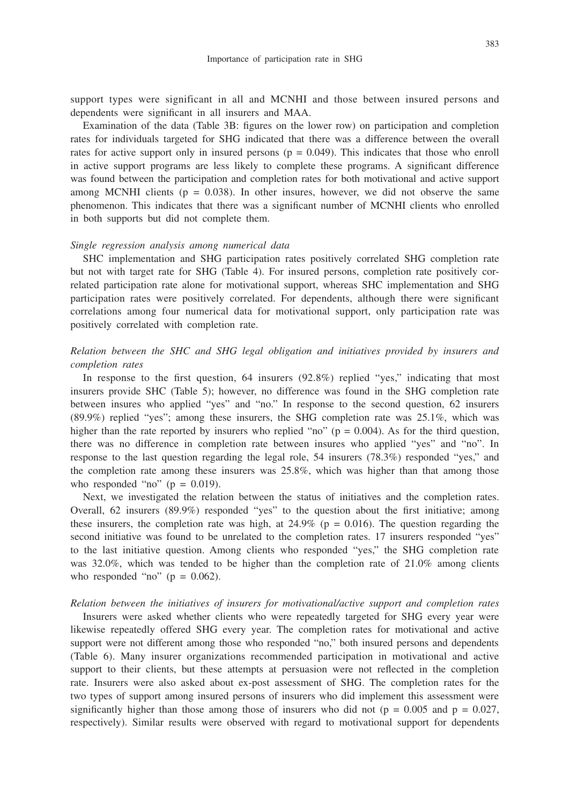support types were significant in all and MCNHI and those between insured persons and dependents were significant in all insurers and MAA.

Examination of the data (Table 3B: figures on the lower row) on participation and completion rates for individuals targeted for SHG indicated that there was a difference between the overall rates for active support only in insured persons ( $p = 0.049$ ). This indicates that those who enroll in active support programs are less likely to complete these programs. A significant difference was found between the participation and completion rates for both motivational and active support among MCNHI clients ( $p = 0.038$ ). In other insures, however, we did not observe the same phenomenon. This indicates that there was a significant number of MCNHI clients who enrolled in both supports but did not complete them.

#### *Single regression analysis among numerical data*

SHC implementation and SHG participation rates positively correlated SHG completion rate but not with target rate for SHG (Table 4). For insured persons, completion rate positively correlated participation rate alone for motivational support, whereas SHC implementation and SHG participation rates were positively correlated. For dependents, although there were significant correlations among four numerical data for motivational support, only participation rate was positively correlated with completion rate.

# *Relation between the SHC and SHG legal obligation and initiatives provided by insurers and completion rates*

In response to the first question, 64 insurers (92.8%) replied "yes," indicating that most insurers provide SHC (Table 5); however, no difference was found in the SHG completion rate between insures who applied "yes" and "no." In response to the second question, 62 insurers (89.9%) replied "yes"; among these insurers, the SHG completion rate was 25.1%, which was higher than the rate reported by insurers who replied "no" ( $p = 0.004$ ). As for the third question, there was no difference in completion rate between insures who applied "yes" and "no". In response to the last question regarding the legal role, 54 insurers (78.3%) responded "yes," and the completion rate among these insurers was 25.8%, which was higher than that among those who responded "no" ( $p = 0.019$ ).

Next, we investigated the relation between the status of initiatives and the completion rates. Overall, 62 insurers (89.9%) responded "yes" to the question about the first initiative; among these insurers, the completion rate was high, at  $24.9\%$  (p = 0.016). The question regarding the second initiative was found to be unrelated to the completion rates. 17 insurers responded "yes" to the last initiative question. Among clients who responded "yes," the SHG completion rate was 32.0%, which was tended to be higher than the completion rate of 21.0% among clients who responded "no" ( $p = 0.062$ ).

#### *Relation between the initiatives of insurers for motivational/active support and completion rates*

Insurers were asked whether clients who were repeatedly targeted for SHG every year were likewise repeatedly offered SHG every year. The completion rates for motivational and active support were not different among those who responded "no," both insured persons and dependents (Table 6). Many insurer organizations recommended participation in motivational and active support to their clients, but these attempts at persuasion were not reflected in the completion rate. Insurers were also asked about ex-post assessment of SHG. The completion rates for the two types of support among insured persons of insurers who did implement this assessment were significantly higher than those among those of insurers who did not ( $p = 0.005$  and  $p = 0.027$ , respectively). Similar results were observed with regard to motivational support for dependents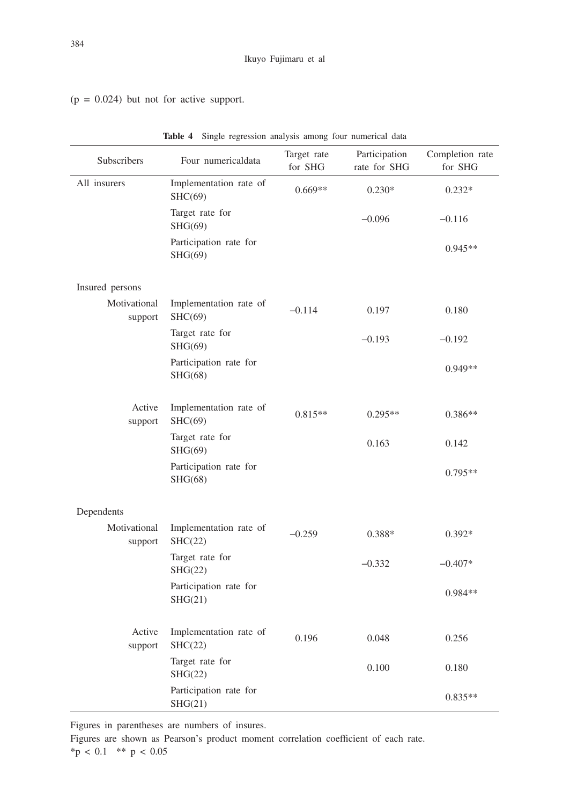$(p = 0.024)$  but not for active support.

| Subscribers             | Four numericaldata                | Target rate<br>for SHG | Participation<br>rate for SHG | Completion rate<br>for SHG |
|-------------------------|-----------------------------------|------------------------|-------------------------------|----------------------------|
| All insurers            | Implementation rate of<br>SHC(69) | $0.669**$              | $0.230*$                      | $0.232*$                   |
|                         | Target rate for<br>SHG(69)        |                        | $-0.096$                      | $-0.116$                   |
|                         | Participation rate for<br>SHG(69) |                        |                               | $0.945**$                  |
| Insured persons         |                                   |                        |                               |                            |
| Motivational<br>support | Implementation rate of<br>SHC(69) | $-0.114$               | 0.197                         | 0.180                      |
|                         | Target rate for<br>SHG(69)        |                        | $-0.193$                      | $-0.192$                   |
|                         | Participation rate for<br>SHG(68) |                        |                               | 0.949**                    |
| Active<br>support       | Implementation rate of<br>SHC(69) | $0.815**$              | $0.295**$                     | $0.386**$                  |
|                         | Target rate for<br>SHG(69)        |                        | 0.163                         | 0.142                      |
|                         | Participation rate for<br>SHG(68) |                        |                               | 0.795**                    |
| Dependents              |                                   |                        |                               |                            |
| Motivational<br>support | Implementation rate of<br>SHC(22) | $-0.259$               | 0.388*                        | $0.392*$                   |
|                         | Target rate for<br>SHG(22)        |                        | $-0.332$                      | $-0.407*$                  |
|                         | Participation rate for<br>SHG(21) |                        |                               | 0.984**                    |
| Active<br>support       | Implementation rate of<br>SHC(22) | 0.196                  | 0.048                         | 0.256                      |
|                         | Target rate for<br>SHG(22)        |                        | 0.100                         | 0.180                      |
|                         | Participation rate for<br>SHG(21) |                        |                               | $0.835**$                  |

**Table 4** Single regression analysis among four numerical data

Figures in parentheses are numbers of insures.

Figures are shown as Pearson's product moment correlation coefficient of each rate.  $*$ p < 0.1 \*\* p < 0.05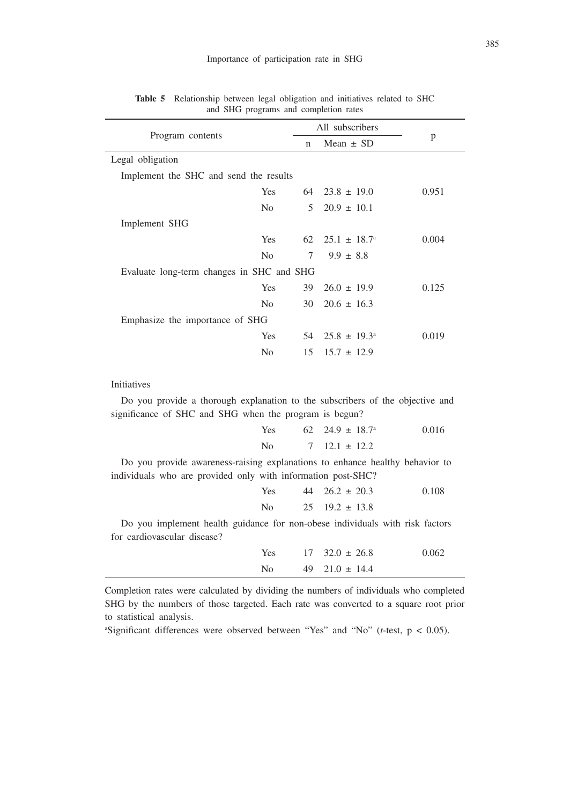|                                           |                |             | All subscribers            |       |
|-------------------------------------------|----------------|-------------|----------------------------|-------|
| Program contents                          |                | $\mathbf n$ | Mean $\pm$ SD              | p     |
| Legal obligation                          |                |             |                            |       |
| Implement the SHC and send the results    |                |             |                            |       |
|                                           | Yes            |             | $64$ $23.8 \pm 19.0$       | 0.951 |
|                                           | No.            |             | $5\quad 20.9 \pm 10.1$     |       |
| Implement SHG                             |                |             |                            |       |
|                                           | Yes            |             | 62 $25.1 \pm 18.7^{\circ}$ | 0.004 |
|                                           | N <sub>0</sub> | 7           | $9.9 \pm 8.8$              |       |
| Evaluate long-term changes in SHC and SHG |                |             |                            |       |
|                                           | Yes            | 39          | $26.0 \pm 19.9$            | 0.125 |
|                                           | N <sub>0</sub> | 30          | $20.6 \pm 16.3$            |       |
| Emphasize the importance of SHG           |                |             |                            |       |
|                                           | Yes            |             | 54 $25.8 \pm 19.3^{\circ}$ | 0.019 |
|                                           | No             | 15          | $15.7 \pm 12.9$            |       |
|                                           |                |             |                            |       |

**Table 5** Relationship between legal obligation and initiatives related to SHC and SHG programs and completion rates

#### Initiatives

Do you provide a thorough explanation to the subscribers of the objective and significance of SHC and SHG when the program is begun?

| <b>Yes</b> | $62 \quad 24.9 \pm 18.7$ <sup>a</sup> | 0.016 |
|------------|---------------------------------------|-------|
| No.        | $7 \quad 12.1 \pm 12.2$               |       |

Do you provide awareness-raising explanations to enhance healthy behavior to individuals who are provided only with information post-SHC?

| Yes            | $44 \quad 26.2 \pm 20.3$ | 0.108 |
|----------------|--------------------------|-------|
| N <sub>0</sub> | $25 \quad 19.2 \pm 13.8$ |       |

Do you implement health guidance for non-obese individuals with risk factors for cardiovascular disease?

| <b>Yes</b> | $17 \quad 32.0 \pm 26.8$ | 0.062 |
|------------|--------------------------|-------|
| No.        | $49$ $21.0 \pm 14.4$     |       |

Completion rates were calculated by dividing the numbers of individuals who completed SHG by the numbers of those targeted. Each rate was converted to a square root prior to statistical analysis.

a Significant differences were observed between "Yes" and "No" (*t*-test, p < 0.05).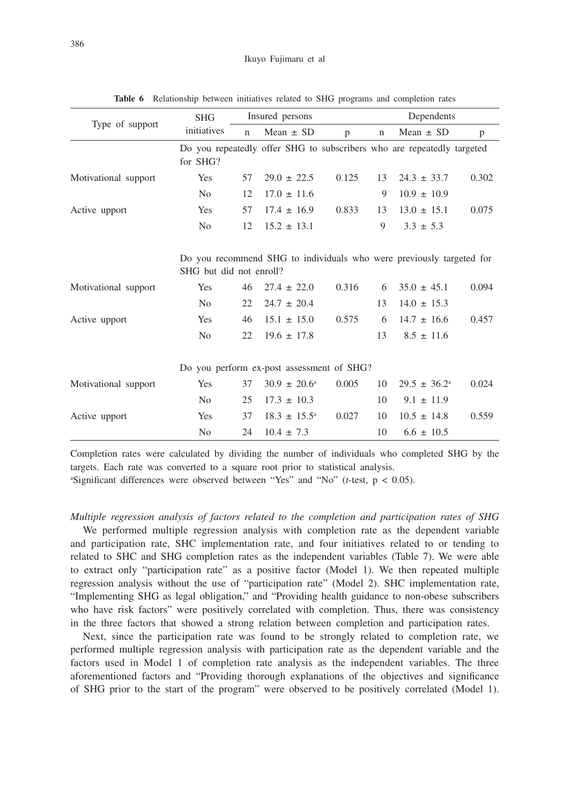|                      | <b>SHG</b>              |             | Insured persons                           |       |             | Dependents                                                             |       |
|----------------------|-------------------------|-------------|-------------------------------------------|-------|-------------|------------------------------------------------------------------------|-------|
| Type of support      | initiatives             | $\mathbf n$ | Mean $\pm$ SD                             | p     | $\mathbf n$ | Mean $\pm$ SD                                                          | p     |
|                      | for SHG?                |             |                                           |       |             | Do you repeatedly offer SHG to subscribers who are repeatedly targeted |       |
| Motivational support | <b>Yes</b>              | 57          | $29.0 \pm 22.5$                           | 0.125 | 13          | $24.3 \pm 33.7$                                                        | 0.302 |
|                      | N <sub>0</sub>          | 12          | $17.0 \pm 11.6$                           |       | 9           | $10.9 \pm 10.9$                                                        |       |
| Active upport        | Yes                     | 57          | $17.4 \pm 16.9$                           | 0.833 | 13          | $13.0 \pm 15.1$                                                        | 0.075 |
|                      | N <sub>0</sub>          | 12          | $15.2 \pm 13.1$                           |       | 9           | $3.3 \pm 5.3$                                                          |       |
|                      | SHG but did not enroll? |             |                                           |       |             | Do you recommend SHG to individuals who were previously targeted for   |       |
| Motivational support | <b>Yes</b>              | 46          | $27.4 \pm 22.0$                           | 0.316 | 6           | $35.0 \pm 45.1$                                                        | 0.094 |
|                      | N <sub>0</sub>          | 22          | $24.7 \pm 20.4$                           |       | 13          | $14.0 \pm 15.3$                                                        |       |
| Active upport        | Yes                     | 46          | $15.1 \pm 15.0$                           | 0.575 | 6           | $14.7 \pm 16.6$                                                        | 0.457 |
|                      | N <sub>0</sub>          | 22          | $19.6 \pm 17.8$                           |       | 13          | $8.5 \pm 11.6$                                                         |       |
|                      |                         |             | Do you perform ex-post assessment of SHG? |       |             |                                                                        |       |
| Motivational support | Yes                     | 37          | $30.9 \pm 20.6^{\circ}$                   | 0.005 | 10          | $29.5 \pm 36.2^{\circ}$                                                | 0.024 |
|                      | N <sub>0</sub>          | 25          | $17.3 \pm 10.3$                           |       | 10          | $9.1 \pm 11.9$                                                         |       |
| Active upport        | Yes                     | 37          | $18.3 \pm 15.5^{\circ}$                   | 0.027 | 10          | $10.5 \pm 14.8$                                                        | 0.559 |
|                      | N <sub>0</sub>          | 24          | $10.4 \pm 7.3$                            |       | 10          | $6.6 \pm 10.5$                                                         |       |

**Table 6** Relationship between initiatives related to SHG programs and completion rates

Completion rates were calculated by dividing the number of individuals who completed SHG by the targets. Each rate was converted to a square root prior to statistical analysis.

a Significant differences were observed between "Yes" and "No" (*t*-test, p < 0.05).

*Multiple regression analysis of factors related to the completion and participation rates of SHG* We performed multiple regression analysis with completion rate as the dependent variable and participation rate, SHC implementation rate, and four initiatives related to or tending to related to SHC and SHG completion rates as the independent variables (Table 7). We were able to extract only "participation rate" as a positive factor (Model 1). We then repeated multiple regression analysis without the use of "participation rate" (Model 2). SHC implementation rate, "Implementing SHG as legal obligation," and "Providing health guidance to non-obese subscribers who have risk factors" were positively correlated with completion. Thus, there was consistency in the three factors that showed a strong relation between completion and participation rates.

Next, since the participation rate was found to be strongly related to completion rate, we performed multiple regression analysis with participation rate as the dependent variable and the factors used in Model 1 of completion rate analysis as the independent variables. The three aforementioned factors and "Providing thorough explanations of the objectives and significance of SHG prior to the start of the program" were observed to be positively correlated (Model 1).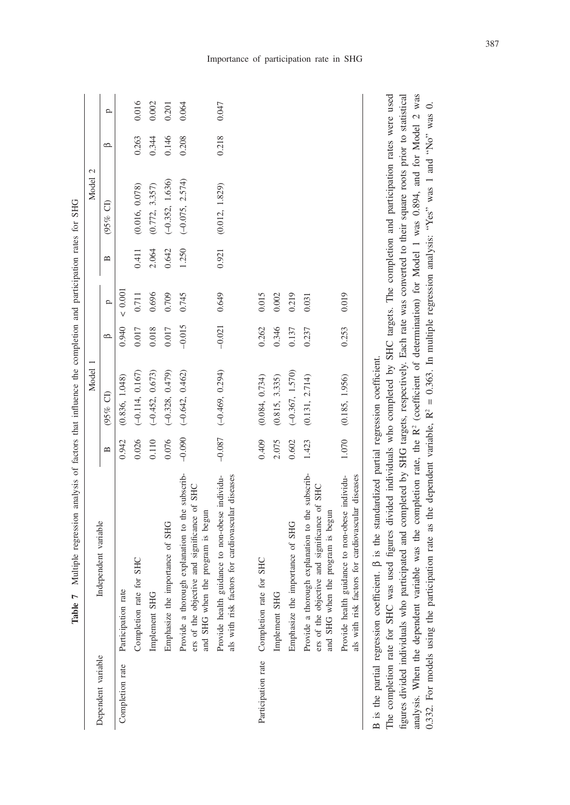| Dependent variable |                                                                                                                                      |              |                   |          |              |                |                           |         |       |
|--------------------|--------------------------------------------------------------------------------------------------------------------------------------|--------------|-------------------|----------|--------------|----------------|---------------------------|---------|-------|
|                    | Independent variable                                                                                                                 | $\mathbf{a}$ | (95% CI)          | $\circ$  | $\mathbf{r}$ | $\mathbf{\Xi}$ | $\widehat{\sigma}$<br>05% | $\circ$ | p     |
| Completion rate    | Participation rate                                                                                                                   | 0.942        | (0.836, 1.048)    | 0.940    | < 0.001      |                |                           |         |       |
|                    | Completion rate for SHC                                                                                                              | 0.026        | $(-0.114, 0.167)$ | 0.017    | 0.711        | 0.411          | (0.016, 0.078)            | 0.263   | 0.016 |
|                    | Implement SHG                                                                                                                        | 0.110        | $(-0.452, 0.673)$ | 0.018    | 0.696        | 2.064          | (0.772, 3.357)            | 0.344   | 0.002 |
|                    | Emphasize the importance of SHG                                                                                                      | 0.076        | $(-0.328, 0.479)$ | 0.017    | 0.709        | 0.642          | $(-0.352, 1.636)$         | 0.146   | 0.201 |
|                    | Provide a thorough explanation to the subscrib-<br>ers of the objective and significance of SHC<br>and SHG when the program is begun | $-0.090$     | $(-0.642, 0.462)$ | $-0.015$ | 0.745        | 1.250          | $(-0.075, 2.574)$         | 0.208   | 0.064 |
|                    | Provide health guidance to non-obese individu-<br>als with risk factors for cardiovascular diseases                                  | $-0.087$     | $(-0.469, 0.294)$ | $-0.021$ | 0.649        | 0.921          | (0.012, 1.829)            | 0.218   | 0.047 |
| Participation rate | Completion rate for SHC                                                                                                              | 0.409        | (0.084, 0.734)    | 0.262    | 0.015        |                |                           |         |       |
|                    | Implement SHG                                                                                                                        | 2.075        | (0.815, 3.335)    | 0.346    | 0.002        |                |                           |         |       |
|                    | Emphasize the importance of SHG                                                                                                      | 0.602        | $(-0.367, 1.570)$ | 0.137    | 0.219        |                |                           |         |       |
|                    | Provide a thorough explanation to the subscrib-<br>ers of the objective and significance of SHC<br>and SHG when the program is begun | 1.423        | (0.131, 2.714)    | 0.237    | 0.031        |                |                           |         |       |
|                    | Provide health guidance to non-obese individu-<br>als with risk factors for cardiovascular diseases                                  | 1.070        | (0.185, 1.956)    | 0.253    | 0.019        |                |                           |         |       |

analysis of factors that influence the completion and participation rates for SHG **Table 7** Multiple regression analysis of factors that influence the completion and participation rates for SHG Table 7 Multiple regression

figures divided individuals who participated and completed by SHG targets, respectively. Each rate was converted to their square roots prior to statistical analysis. When the dependent variable was the completion rate, the R<sup>2</sup> (coefficient of determination) for Model 1 was 0.894, and for Model 2 was The completion rate for SHC was used figures divided individuals who completed by SHC targets. The completion and participation rates were used figures divided individuals who participated and completed by SHG targets, respectively. Each rate was converted to their square roots prior to statistical analysis. When the dependent variable was the completion rate, the R2 (coefficient of determination) for Model 1 was 0.894, and for Model 2 was 0.332. For models using the participation rate as the dependent variable,  $R^2 = 0.363$ . In multiple regression analysis: "Yes" was 1 and "No" was 0. 0.332. For models using the participation rate as the dependent variable,  $R^2 = 0.363$ . In multiple regression analysis: "Yes" was 1 and "No" was 0.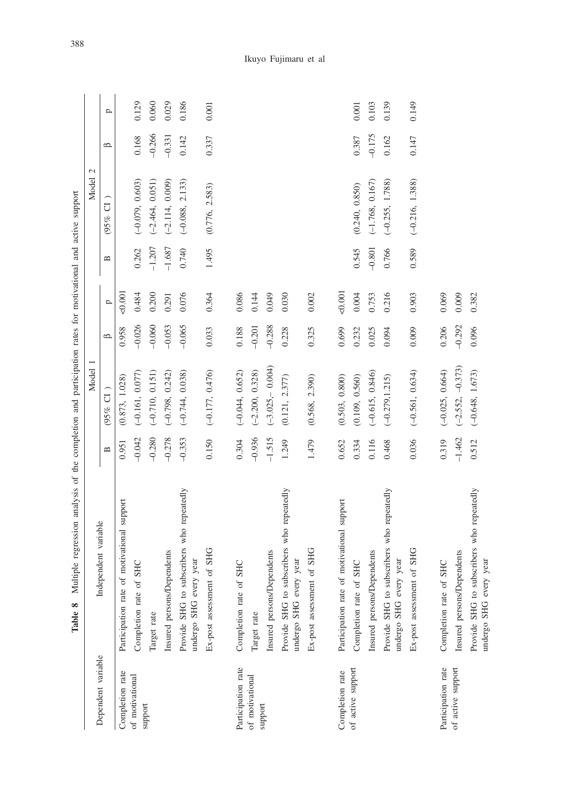|                    | Multiple regression analysis of the completion and participation rates for motivational and active support<br>Table 8 |              |                    |          |              |                                |                        |          |              |
|--------------------|-----------------------------------------------------------------------------------------------------------------------|--------------|--------------------|----------|--------------|--------------------------------|------------------------|----------|--------------|
|                    |                                                                                                                       |              | Model              |          |              |                                | $\mathcal{L}$<br>Model |          |              |
| Dependent variable | Independent variable                                                                                                  | $\mathbf{u}$ | (95% CI            | $\circ$  | $\mathbf{p}$ | $\mathbf{\underline{\square}}$ | J<br>05%               | $\Omega$ | $\mathbf{p}$ |
| Completion rate    | of motivational support<br>Participation rate                                                                         | 0.951        | (0.873, 1.028)     | 0.958    | 0.001        |                                |                        |          |              |
| of motivational    | Completion rate of SHC                                                                                                | $-0.042$     | $(-0.161, 0.077)$  | $-0.026$ | 0.484        | 0.262                          | $(-0.079, 0.603)$      | 0.168    | 0.129        |
| support            | Target rate                                                                                                           | $-0.280$     | $(-0.710, 0.151)$  | $-0.060$ | 0.200        | $-1.207$                       | $(-2.464, 0.051)$      | $-0.266$ | 0.060        |
|                    | Insured persons/Dependents                                                                                            | $-0.278$     | $(-0.798, 0.242)$  | $-0.053$ | 0.291        | $-1.687$                       | $(-2.114, 0.009)$      | $-0.331$ | 0.029        |
|                    | Provide SHG to subscribers who repeatedly<br>undergo SHG every year                                                   | $-0.353$     | $(-0.744, 0.038)$  | $-0.065$ | 0.076        | 0.740                          | $(-0.088, 2.133)$      | 0.142    | 0.186        |
|                    | Ex-post assessment of SHG                                                                                             | 0.150        | $(-0.177, 0.476)$  | 0.033    | 0.364        | 1.495                          | (0.776, 2.583)         | 0.337    | 0.001        |
| Participation rate | Completion rate of SHC                                                                                                | 0.304        | $(-0.044, 0.652)$  | 0.188    | 0.086        |                                |                        |          |              |
| of motivational    | Target rate                                                                                                           | $-0.936$     | $(-2.200, 0.328)$  | $-0.201$ | 0.144        |                                |                        |          |              |
| support            | Insured persons/Dependents                                                                                            | $-1.515$     | $(-3.025 - 0.004)$ | $-0.288$ | 0.049        |                                |                        |          |              |
|                    | Provide SHG to subscribers who repeatedly<br>undergo SHG every year                                                   | 1.249        | (0.121, 2.377)     | 0.228    | 0.030        |                                |                        |          |              |
|                    | Ex-post assessment of SHG                                                                                             | 1.479        | (0.568, 2.390)     | 0.325    | 0.002        |                                |                        |          |              |
| Completion rate    | of motivational support<br>Participation rate                                                                         | 0.652        | (0.503, 0.800)     | 0.699    | 0.001        |                                |                        |          |              |
| of active support  | Completion rate of SHC                                                                                                | 0.334        | (0.109, 0.560)     | 0.232    | 0.004        | 0.545                          | (0.240, 0.850)         | 0.387    | 0.001        |
|                    | Insured persons/Dependents                                                                                            | 0.116        | $(-0.615, 0.846)$  | 0.025    | 0.753        | $-0.801$                       | $(-1.768, 0.167)$      | $-0.175$ | 0.103        |
|                    | Provide SHG to subscribers who repeatedly<br>undergo SHG every year                                                   | 0.468        | $(-0.279, 1.215)$  | 0.094    | 0.216        | 0.766                          | $(-0.255, 1.788)$      | 0.162    | 0.139        |
|                    | Ex-post assessment of SHG                                                                                             | 0.036        | $(-0.561, 0.634)$  | 0.009    | 0.903        | 0.589                          | $(-0.216, 1.388)$      | 0.147    | 0.149        |
| Participation rate | Completion rate of SHC                                                                                                | 0.319        | $(-0.025, 0.664)$  | 0.206    | 0.069        |                                |                        |          |              |
| of active support  | Insured persons/Dependents                                                                                            | $-1.462$     | $(-2.552, -0.373)$ | $-0.292$ | 0.009        |                                |                        |          |              |
|                    | Provide SHG to subscribers who repeatedly<br>undergo SHG every year                                                   | 0.512        | $(-0.648, 1.673)$  | 0.096    | 0.382        |                                |                        |          |              |

388

# Ikuyo Fujimaru et al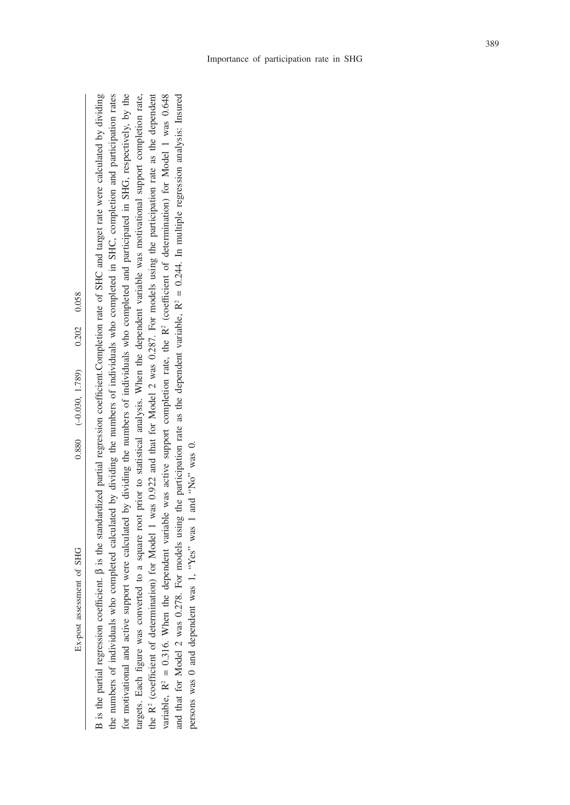Ex-post assessment of SHG

B is the partial regression coefficient.  $\beta$  is the standardized partial regression coefficient.Completion rate of SHC and target rate were calculated by dividing B is the partial regression coefficient. β is the standardized partial regression coefficient.Completion rate of SHC and target rate were calculated by dividing the numbers of individuals who completed calculated by dividing the numbers of individuals who completed in SHC, completion and participation rates the numbers of individuals who completed calculated by dividing the numbers of individuals who completed in SHC, completion and participation rates for motivational and active support were calculated by dividing the numbers of individuals who completed and participated in SHG, respectively, by the for motivational and active support were calculated by dividing the numbers of individuals who completed and participated in SHG, respectively, by the targets. Each figure was converted to a square root prior to statistical analysis. When the dependent variable was motivational support completion rate, targets. Each figure was converted to a square root prior to statistical analysis. When the dependent variable was motivational support completion rate, the R<sup>2</sup> (coefficient of determination) for Model 1 was 0.922 and that for Model 2 was 0.287. For models using the participation rate as the dependent the R2 (coefficient of determination) for Model 1 was 0.922 and that for Model 2 was 0.287. For models using the participation rate as the dependent variable,  $R^2 = 0.316$ . When the dependent variable was active support completion rate, the  $R^2$  (coefficient of determination) for Model 1 was 0.648 variable, R2 = 0.316. When the dependent variable was active support completion rate, the R2 (coefficient of determination) for Model 1 was 0.648 and that for Model 2 was 0.278. For models using the participation rate as the dependent variable,  $R^2 = 0.244$ . In multiple regression analysis: Insured and that for Model 2 was 0.278. For models using the participation rate as the dependent variable,  $R^2 = 0.244$ . In multiple regression analysis: Insured persons was 0 and dependent was 1, "Yes" was 1 and "No" was 0. persons was 0 and dependent was 1, "Yes" was 1 and "No" was 0.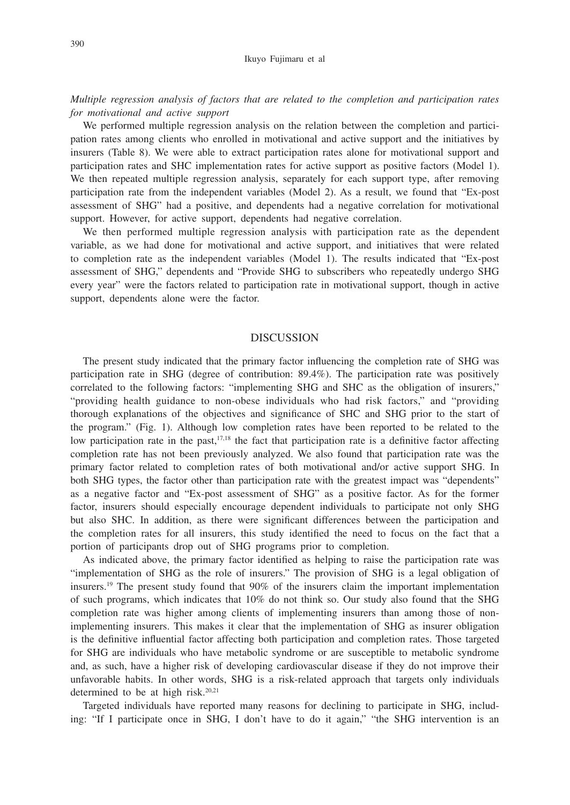*Multiple regression analysis of factors that are related to the completion and participation rates for motivational and active support*

We performed multiple regression analysis on the relation between the completion and participation rates among clients who enrolled in motivational and active support and the initiatives by insurers (Table 8). We were able to extract participation rates alone for motivational support and participation rates and SHC implementation rates for active support as positive factors (Model 1). We then repeated multiple regression analysis, separately for each support type, after removing participation rate from the independent variables (Model 2). As a result, we found that "Ex-post assessment of SHG" had a positive, and dependents had a negative correlation for motivational support. However, for active support, dependents had negative correlation.

We then performed multiple regression analysis with participation rate as the dependent variable, as we had done for motivational and active support, and initiatives that were related to completion rate as the independent variables (Model 1). The results indicated that "Ex-post assessment of SHG," dependents and "Provide SHG to subscribers who repeatedly undergo SHG every year" were the factors related to participation rate in motivational support, though in active support, dependents alone were the factor.

#### DISCUSSION

The present study indicated that the primary factor influencing the completion rate of SHG was participation rate in SHG (degree of contribution: 89.4%). The participation rate was positively correlated to the following factors: "implementing SHG and SHC as the obligation of insurers," "providing health guidance to non-obese individuals who had risk factors," and "providing thorough explanations of the objectives and significance of SHC and SHG prior to the start of the program." (Fig. 1). Although low completion rates have been reported to be related to the low participation rate in the past, $17,18$  the fact that participation rate is a definitive factor affecting completion rate has not been previously analyzed. We also found that participation rate was the primary factor related to completion rates of both motivational and/or active support SHG. In both SHG types, the factor other than participation rate with the greatest impact was "dependents" as a negative factor and "Ex-post assessment of SHG" as a positive factor. As for the former factor, insurers should especially encourage dependent individuals to participate not only SHG but also SHC. In addition, as there were significant differences between the participation and the completion rates for all insurers, this study identified the need to focus on the fact that a portion of participants drop out of SHG programs prior to completion.

As indicated above, the primary factor identified as helping to raise the participation rate was "implementation of SHG as the role of insurers." The provision of SHG is a legal obligation of insurers.19 The present study found that 90% of the insurers claim the important implementation of such programs, which indicates that 10% do not think so. Our study also found that the SHG completion rate was higher among clients of implementing insurers than among those of nonimplementing insurers. This makes it clear that the implementation of SHG as insurer obligation is the definitive influential factor affecting both participation and completion rates. Those targeted for SHG are individuals who have metabolic syndrome or are susceptible to metabolic syndrome and, as such, have a higher risk of developing cardiovascular disease if they do not improve their unfavorable habits. In other words, SHG is a risk-related approach that targets only individuals determined to be at high risk. $20,21$ 

Targeted individuals have reported many reasons for declining to participate in SHG, including: "If I participate once in SHG, I don't have to do it again," "the SHG intervention is an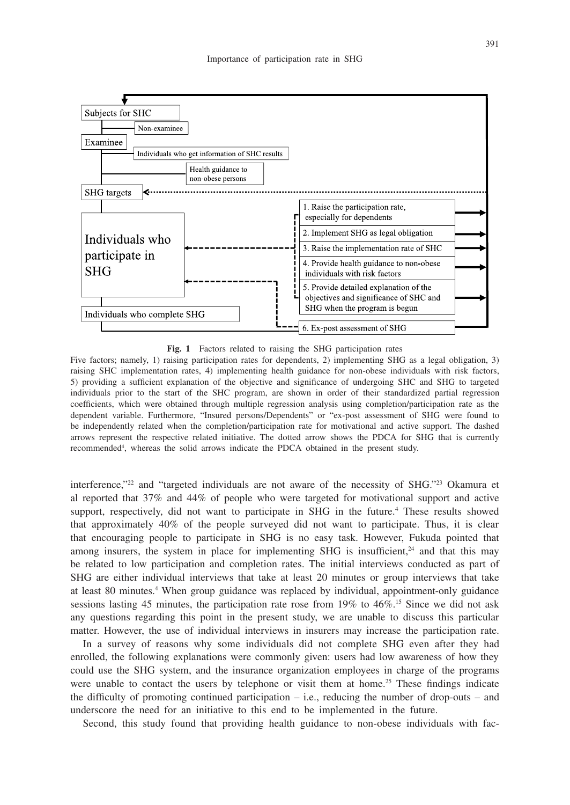

**Fig. 1** Factors related to raising the SHG participation rates

Five factors; namely, 1) raising participation rates for dependents, 2) implementing SHG as a legal obligation, 3) raising SHC implementation rates, 4) implementing health guidance for non-obese individuals with risk factors, 5) providing a sufficient explanation of the objective and significance of undergoing SHC and SHG to targeted individuals prior to the start of the SHC program, are shown in order of their standardized partial regression coefficients, which were obtained through multiple regression analysis using completion/participation rate as the dependent variable. Furthermore, "Insured persons/Dependents" or "ex-post assessment of SHG were found to be independently related when the completion/participation rate for motivational and active support. The dashed arrows represent the respective related initiative. The dotted arrow shows the PDCA for SHG that is currently recommended4 , whereas the solid arrows indicate the PDCA obtained in the present study.

interference,"22 and "targeted individuals are not aware of the necessity of SHG."23 Okamura et al reported that 37% and 44% of people who were targeted for motivational support and active support, respectively, did not want to participate in SHG in the future.<sup>4</sup> These results showed that approximately 40% of the people surveyed did not want to participate. Thus, it is clear that encouraging people to participate in SHG is no easy task. However, Fukuda pointed that among insurers, the system in place for implementing SHG is insufficient, $24$  and that this may be related to low participation and completion rates. The initial interviews conducted as part of SHG are either individual interviews that take at least 20 minutes or group interviews that take at least 80 minutes.<sup>4</sup> When group guidance was replaced by individual, appointment-only guidance sessions lasting 45 minutes, the participation rate rose from 19% to 46%.<sup>15</sup> Since we did not ask any questions regarding this point in the present study, we are unable to discuss this particular matter. However, the use of individual interviews in insurers may increase the participation rate.

In a survey of reasons why some individuals did not complete SHG even after they had enrolled, the following explanations were commonly given: users had low awareness of how they could use the SHG system, and the insurance organization employees in charge of the programs were unable to contact the users by telephone or visit them at home.<sup>25</sup> These findings indicate the difficulty of promoting continued participation – i.e., reducing the number of drop-outs – and underscore the need for an initiative to this end to be implemented in the future.

Second, this study found that providing health guidance to non-obese individuals with fac-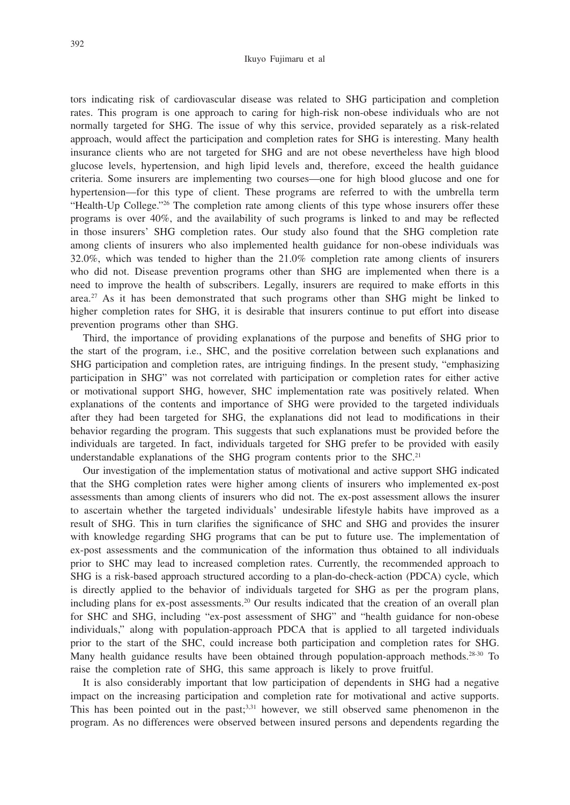#### Ikuyo Fujimaru et al

tors indicating risk of cardiovascular disease was related to SHG participation and completion rates. This program is one approach to caring for high-risk non-obese individuals who are not normally targeted for SHG. The issue of why this service, provided separately as a risk-related approach, would affect the participation and completion rates for SHG is interesting. Many health insurance clients who are not targeted for SHG and are not obese nevertheless have high blood glucose levels, hypertension, and high lipid levels and, therefore, exceed the health guidance criteria. Some insurers are implementing two courses—one for high blood glucose and one for hypertension—for this type of client. These programs are referred to with the umbrella term "Health-Up College."26 The completion rate among clients of this type whose insurers offer these programs is over 40%, and the availability of such programs is linked to and may be reflected in those insurers' SHG completion rates. Our study also found that the SHG completion rate among clients of insurers who also implemented health guidance for non-obese individuals was 32.0%, which was tended to higher than the 21.0% completion rate among clients of insurers who did not. Disease prevention programs other than SHG are implemented when there is a need to improve the health of subscribers. Legally, insurers are required to make efforts in this area.<sup>27</sup> As it has been demonstrated that such programs other than SHG might be linked to higher completion rates for SHG, it is desirable that insurers continue to put effort into disease prevention programs other than SHG.

Third, the importance of providing explanations of the purpose and benefits of SHG prior to the start of the program, i.e., SHC, and the positive correlation between such explanations and SHG participation and completion rates, are intriguing findings. In the present study, "emphasizing participation in SHG" was not correlated with participation or completion rates for either active or motivational support SHG, however, SHC implementation rate was positively related. When explanations of the contents and importance of SHG were provided to the targeted individuals after they had been targeted for SHG, the explanations did not lead to modifications in their behavior regarding the program. This suggests that such explanations must be provided before the individuals are targeted. In fact, individuals targeted for SHG prefer to be provided with easily understandable explanations of the SHG program contents prior to the SHC.<sup>21</sup>

Our investigation of the implementation status of motivational and active support SHG indicated that the SHG completion rates were higher among clients of insurers who implemented ex-post assessments than among clients of insurers who did not. The ex-post assessment allows the insurer to ascertain whether the targeted individuals' undesirable lifestyle habits have improved as a result of SHG. This in turn clarifies the significance of SHC and SHG and provides the insurer with knowledge regarding SHG programs that can be put to future use. The implementation of ex-post assessments and the communication of the information thus obtained to all individuals prior to SHC may lead to increased completion rates. Currently, the recommended approach to SHG is a risk-based approach structured according to a plan-do-check-action (PDCA) cycle, which is directly applied to the behavior of individuals targeted for SHG as per the program plans, including plans for ex-post assessments.20 Our results indicated that the creation of an overall plan for SHC and SHG, including "ex-post assessment of SHG" and "health guidance for non-obese individuals," along with population-approach PDCA that is applied to all targeted individuals prior to the start of the SHC, could increase both participation and completion rates for SHG. Many health guidance results have been obtained through population-approach methods.<sup>28-30</sup> To raise the completion rate of SHG, this same approach is likely to prove fruitful.

It is also considerably important that low participation of dependents in SHG had a negative impact on the increasing participation and completion rate for motivational and active supports. This has been pointed out in the past; $3,31$  however, we still observed same phenomenon in the program. As no differences were observed between insured persons and dependents regarding the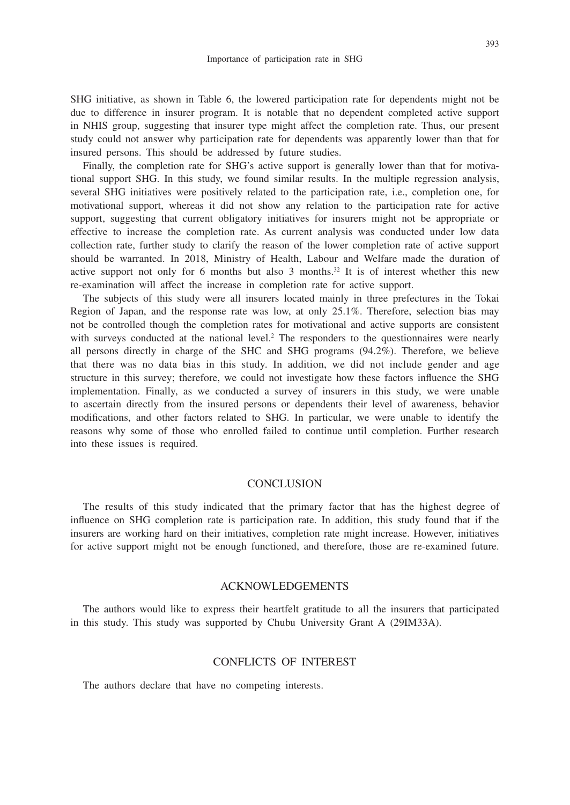SHG initiative, as shown in Table 6, the lowered participation rate for dependents might not be due to difference in insurer program. It is notable that no dependent completed active support in NHIS group, suggesting that insurer type might affect the completion rate. Thus, our present study could not answer why participation rate for dependents was apparently lower than that for insured persons. This should be addressed by future studies.

Finally, the completion rate for SHG's active support is generally lower than that for motivational support SHG. In this study, we found similar results. In the multiple regression analysis, several SHG initiatives were positively related to the participation rate, i.e., completion one, for motivational support, whereas it did not show any relation to the participation rate for active support, suggesting that current obligatory initiatives for insurers might not be appropriate or effective to increase the completion rate. As current analysis was conducted under low data collection rate, further study to clarify the reason of the lower completion rate of active support should be warranted. In 2018, Ministry of Health, Labour and Welfare made the duration of active support not only for 6 months but also 3 months.<sup>32</sup> It is of interest whether this new re-examination will affect the increase in completion rate for active support.

The subjects of this study were all insurers located mainly in three prefectures in the Tokai Region of Japan, and the response rate was low, at only 25.1%. Therefore, selection bias may not be controlled though the completion rates for motivational and active supports are consistent with surveys conducted at the national level.<sup>2</sup> The responders to the questionnaires were nearly all persons directly in charge of the SHC and SHG programs (94.2%). Therefore, we believe that there was no data bias in this study. In addition, we did not include gender and age structure in this survey; therefore, we could not investigate how these factors influence the SHG implementation. Finally, as we conducted a survey of insurers in this study, we were unable to ascertain directly from the insured persons or dependents their level of awareness, behavior modifications, and other factors related to SHG. In particular, we were unable to identify the reasons why some of those who enrolled failed to continue until completion. Further research into these issues is required.

#### **CONCLUSION**

The results of this study indicated that the primary factor that has the highest degree of influence on SHG completion rate is participation rate. In addition, this study found that if the insurers are working hard on their initiatives, completion rate might increase. However, initiatives for active support might not be enough functioned, and therefore, those are re-examined future.

#### ACKNOWLEDGEMENTS

The authors would like to express their heartfelt gratitude to all the insurers that participated in this study. This study was supported by Chubu University Grant A (29IM33A).

## CONFLICTS OF INTEREST

The authors declare that have no competing interests.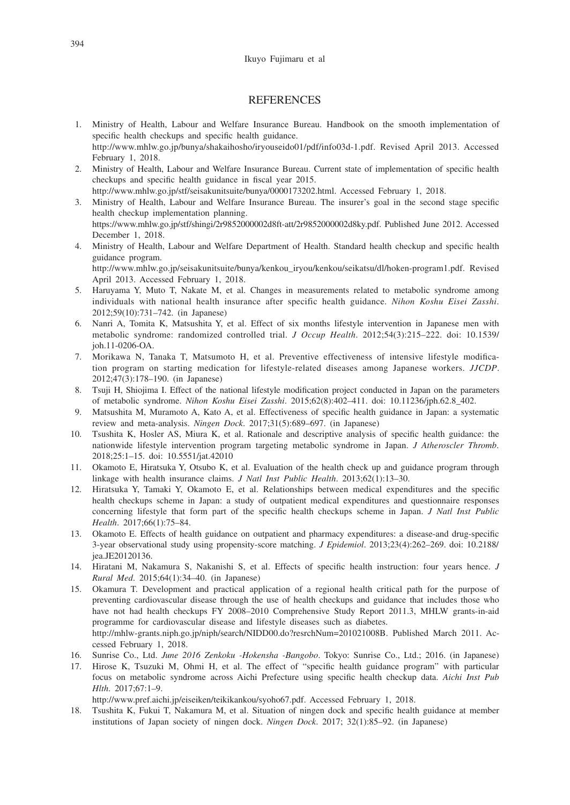#### **REFERENCES**

- 1. Ministry of Health, Labour and Welfare Insurance Bureau. Handbook on the smooth implementation of specific health checkups and specific health guidance. http://www.mhlw.go.jp/bunya/shakaihosho/iryouseido01/pdf/info03d-1.pdf. Revised April 2013. Accessed February 1, 2018.
- 2. Ministry of Health, Labour and Welfare Insurance Bureau. Current state of implementation of specific health checkups and specific health guidance in fiscal year 2015. http://www.mhlw.go.jp/stf/seisakunitsuite/bunya/0000173202.html. Accessed February 1, 2018.
- 3. Ministry of Health, Labour and Welfare Insurance Bureau. The insurer's goal in the second stage specific health checkup implementation planning. https://www.mhlw.go.jp/stf/shingi/2r9852000002d8ft-att/2r9852000002d8ky.pdf. Published June 2012. Accessed December 1, 2018.
- 4. Ministry of Health, Labour and Welfare Department of Health. Standard health checkup and specific health guidance program. http://www.mhlw.go.jp/seisakunitsuite/bunya/kenkou\_iryou/kenkou/seikatsu/dl/hoken-program1.pdf. Revised April 2013. Accessed February 1, 2018.
- 5. Haruyama Y, Muto T, Nakate M, et al. Changes in measurements related to metabolic syndrome among individuals with national health insurance after specific health guidance. *Nihon Koshu Eisei Zasshi*. 2012;59(10):731–742. (in Japanese)
- 6. Nanri A, Tomita K, Matsushita Y, et al. Effect of six months lifestyle intervention in Japanese men with metabolic syndrome: randomized controlled trial. *J Occup Health*. 2012;54(3):215–222. doi: 10.1539/ joh.11-0206-OA.
- 7. Morikawa N, Tanaka T, Matsumoto H, et al. Preventive effectiveness of intensive lifestyle modification program on starting medication for lifestyle-related diseases among Japanese workers. *JJCDP*. 2012;47(3):178–190. (in Japanese)
- 8. Tsuji H, Shiojima I. Effect of the national lifestyle modification project conducted in Japan on the parameters of metabolic syndrome. *Nihon Koshu Eisei Zasshi*. 2015;62(8):402–411. doi: 10.11236/jph.62.8\_402.
- 9. Matsushita M, Muramoto A, Kato A, et al. Effectiveness of specific health guidance in Japan: a systematic review and meta-analysis. *Ningen Dock*. 2017;31(5):689–697. (in Japanese)
- 10. Tsushita K, Hosler AS, Miura K, et al. Rationale and descriptive analysis of specific health guidance: the nationwide lifestyle intervention program targeting metabolic syndrome in Japan. *J Atheroscler Thromb*. 2018;25:1–15. doi: 10.5551/jat.42010
- 11. Okamoto E, Hiratsuka Y, Otsubo K, et al. Evaluation of the health check up and guidance program through linkage with health insurance claims. *J Natl Inst Public Health*. 2013;62(1):13–30.
- 12. Hiratsuka Y, Tamaki Y, Okamoto E, et al. Relationships between medical expenditures and the specific health checkups scheme in Japan: a study of outpatient medical expenditures and questionnaire responses concerning lifestyle that form part of the specific health checkups scheme in Japan. *J Natl Inst Public Health*. 2017;66(1):75–84.
- 13. Okamoto E. Effects of health guidance on outpatient and pharmacy expenditures: a disease-and drug-specific 3-year observational study using propensity-score matching. *J Epidemiol*. 2013;23(4):262–269. doi: 10.2188/ jea.JE20120136.
- 14. Hiratani M, Nakamura S, Nakanishi S, et al. Effects of specific health instruction: four years hence. *J Rural Med*. 2015;64(1):34–40. (in Japanese)
- 15. Okamura T. Development and practical application of a regional health critical path for the purpose of preventing cardiovascular disease through the use of health checkups and guidance that includes those who have not had health checkups FY 2008–2010 Comprehensive Study Report 2011.3, MHLW grants-in-aid programme for cardiovascular disease and lifestyle diseases such as diabetes. http://mhlw-grants.niph.go.jp/niph/search/NIDD00.do?resrchNum=201021008B. Published March 2011. Accessed February 1, 2018.
- 16. Sunrise Co., Ltd. *June 2016 Zenkoku -Hokensha -Bangobo*. Tokyo: Sunrise Co., Ltd.; 2016. (in Japanese)
- 17. Hirose K, Tsuzuki M, Ohmi H, et al. The effect of "specific health guidance program" with particular focus on metabolic syndrome across Aichi Prefecture using specific health checkup data. *Aichi Inst Pub Hlth*. 2017;67:1–9.

http://www.pref.aichi.jp/eiseiken/teikikankou/syoho67.pdf. Accessed February 1, 2018.

18. Tsushita K, Fukui T, Nakamura M, et al. Situation of ningen dock and specific health guidance at member institutions of Japan society of ningen dock. *Ningen Dock*. 2017; 32(1):85–92. (in Japanese)